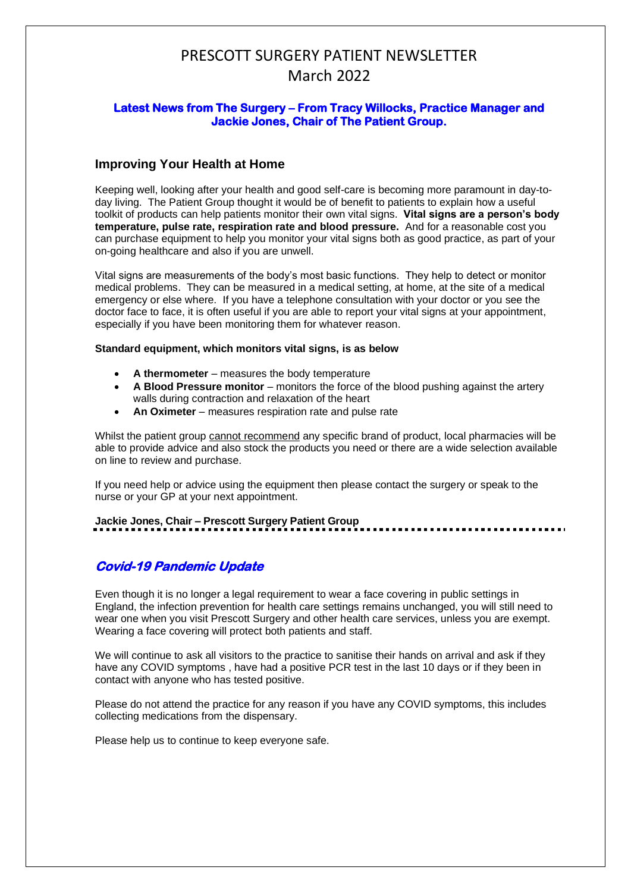# PRESCOTT SURGERY PATIENT NEWSLETTER March 2022

### **Latest News from The Surgery – From Tracy Willocks, Practice Manager and Jackie Jones, Chair of The Patient Group.**

## **Improving Your Health at Home**

Keeping well, looking after your health and good self-care is becoming more paramount in day-today living. The Patient Group thought it would be of benefit to patients to explain how a useful toolkit of products can help patients monitor their own vital signs. **Vital signs are a person's body temperature, pulse rate, respiration rate and blood pressure.** And for a reasonable cost you can purchase equipment to help you monitor your vital signs both as good practice, as part of your on-going healthcare and also if you are unwell.

Vital signs are measurements of the body's most basic functions. They help to detect or monitor medical problems. They can be measured in a medical setting, at home, at the site of a medical emergency or else where. If you have a telephone consultation with your doctor or you see the doctor face to face, it is often useful if you are able to report your vital signs at your appointment, especially if you have been monitoring them for whatever reason.

#### **Standard equipment, which monitors vital signs, is as below**

- **A thermometer** measures the body temperature
- **A Blood Pressure monitor** monitors the force of the blood pushing against the artery walls during contraction and relaxation of the heart
- **An Oximeter** measures respiration rate and pulse rate

Whilst the patient group cannot recommend any specific brand of product, local pharmacies will be able to provide advice and also stock the products you need or there are a wide selection available on line to review and purchase.

If you need help or advice using the equipment then please contact the surgery or speak to the nurse or your GP at your next appointment.

**Jackie Jones, Chair – Prescott Surgery Patient Group**

# **Covid-19 Pandemic Update**

Even though it is no longer a legal requirement to wear a face covering in public settings in England, the infection prevention for health care settings remains unchanged, you will still need to wear one when you visit Prescott Surgery and other health care services, unless you are exempt. Wearing a face covering will protect both patients and staff.

We will continue to ask all visitors to the practice to sanitise their hands on arrival and ask if they have any COVID symptoms , have had a positive PCR test in the last 10 days or if they been in contact with anyone who has tested positive.

Please do not attend the practice for any reason if you have any COVID symptoms, this includes collecting medications from the dispensary.

Please help us to continue to keep everyone safe.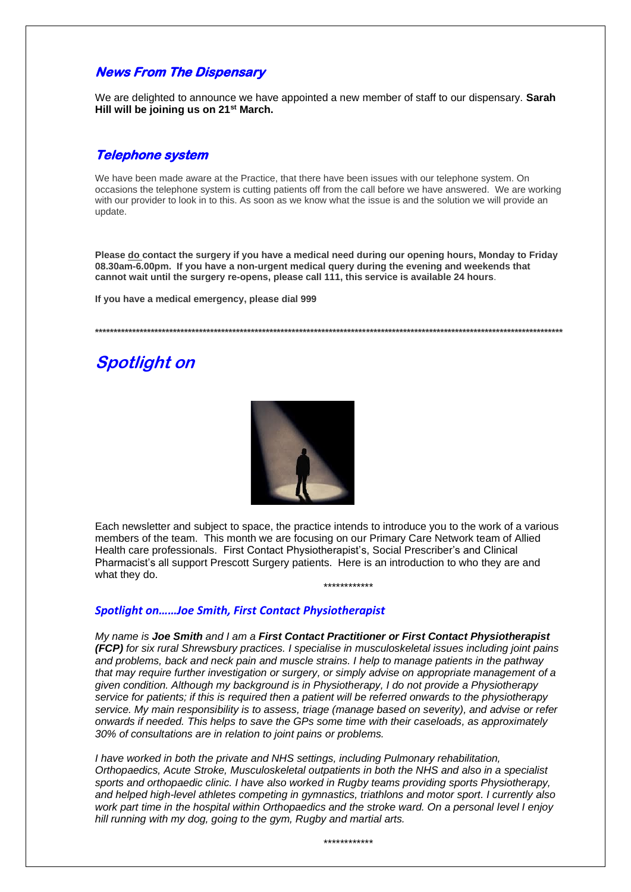# **News From The Dispensary**

We are delighted to announce we have appointed a new member of staff to our dispensary. **Sarah Hill will be joining us on 21st March.** 

### **Telephone system**

We have been made aware at the Practice, that there have been issues with our telephone system. On occasions the telephone system is cutting patients off from the call before we have answered. We are working with our provider to look in to this. As soon as we know what the issue is and the solution we will provide an update.

**Please do contact the surgery if you have a medical need during our opening hours, Monday to Friday 08.30am-6.00pm. If you have a non-urgent medical query during the evening and weekends that cannot wait until the surgery re-opens, please call 111, this service is available 24 hours**.

**If you have a medical emergency, please dial 999**

**\*\*\*\*\*\*\*\*\*\*\*\*\*\*\*\*\*\*\*\*\*\*\*\*\*\*\*\*\*\*\*\*\*\*\*\*\*\*\*\*\*\*\*\*\*\*\*\*\*\*\*\*\*\*\*\*\*\*\*\*\*\*\*\*\*\*\*\*\*\*\*\*\*\*\*\*\*\*\*\*\*\*\*\*\*\*\*\*\*\*\*\*\*\*\*\*\*\*\*\*\*\*\*\*\*\*\*\*\*\*\*\*\*\*\*\*\*\*\*\*\*\*\*\*\*\***

# **Spotlight on**



Each newsletter and subject to space, the practice intends to introduce you to the work of a various members of the team. This month we are focusing on our Primary Care Network team of Allied Health care professionals. First Contact Physiotherapist's, Social Prescriber's and Clinical Pharmacist's all support Prescott Surgery patients. Here is an introduction to who they are and what they do.

\*\*\*\*\*\*\*\*\*\*\*\*

### *Spotlight on……Joe Smith, First Contact Physiotherapist*

*My name is Joe Smith and I am a First Contact Practitioner or First Contact Physiotherapist (FCP) for six rural Shrewsbury practices. I specialise in musculoskeletal issues including joint pains and problems, back and neck pain and muscle strains. I help to manage patients in the pathway that may require further investigation or surgery, or simply advise on appropriate management of a given condition. Although my background is in Physiotherapy, I do not provide a Physiotherapy service for patients; if this is required then a patient will be referred onwards to the physiotherapy service. My main responsibility is to assess, triage (manage based on severity), and advise or refer onwards if needed. This helps to save the GPs some time with their caseloads, as approximately 30% of consultations are in relation to joint pains or problems.*

*I have worked in both the private and NHS settings, including Pulmonary rehabilitation, Orthopaedics, Acute Stroke, Musculoskeletal outpatients in both the NHS and also in a specialist sports and orthopaedic clinic. I have also worked in Rugby teams providing sports Physiotherapy, and helped high-level athletes competing in gymnastics, triathlons and motor sport. I currently also work part time in the hospital within Orthopaedics and the stroke ward. On a personal level I enjoy hill running with my dog, going to the gym, Rugby and martial arts.*

\*\*\*\*\*\*\*\*\*\*\*\*